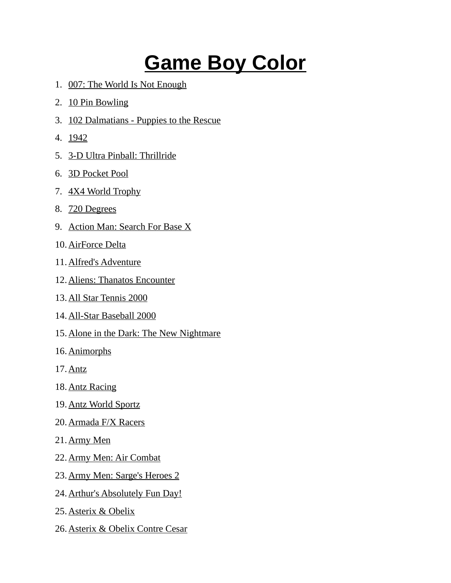## **Game Boy Color**

- 1. 007: The World Is Not Enough
- 2. 10 Pin Bowling
- 3. 102 Dalmatians Puppies to the Rescue
- 4. 1942
- 5. 3-D Ultra Pinball: Thrillride
- 6. 3D Pocket Pool
- 7. 4X4 World Trophy
- 8. 720 Degrees
- 9. Action Man: Search For Base X
- 10. AirForce Delta
- 11. Alfred's Adventure
- 12. Aliens: Thanatos Encounter
- 13. All Star Tennis 2000
- 14. All-Star Baseball 2000
- 15. Alone in the Dark: The New Nightmare
- 16. Animorphs
- 17. Antz
- 18. Antz Racing
- 19. Antz World Sportz
- 20. Armada F/X Racers
- 21. Army Men
- 22. Army Men: Air Combat
- 23. Army Men: Sarge's Heroes 2
- 24. Arthur's Absolutely Fun Day!
- 25. Asterix & Obelix
- 26. Asterix & Obelix Contre Cesar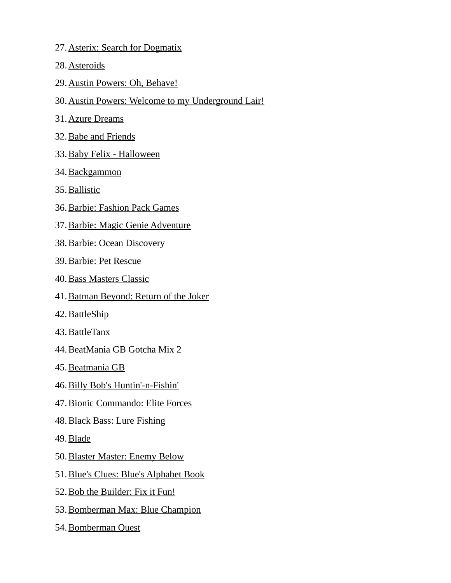- 27. Asterix: Search for Dogmatix
- 28. Asteroids
- 29. Austin Powers: Oh, Behave!
- 30.Austin Powers: Welcome to my Underground Lair!
- 31. Azure Dreams
- 32. Babe and Friends
- 33. Baby Felix Halloween
- 34. Backgammon
- 35. Ballistic
- 36. Barbie: Fashion Pack Games
- 37. Barbie: Magic Genie Adventure
- 38. Barbie: Ocean Discovery
- 39. Barbie: Pet Rescue
- 40. Bass Masters Classic
- 41. Batman Beyond: Return of the Joker
- 42. BattleShip
- 43. BattleTanx
- 44. BeatMania GB Gotcha Mix 2
- 45. Beatmania GB
- 46. Billy Bob's Huntin'-n-Fishin'
- 47. Bionic Commando: Elite Forces
- 48. Black Bass: Lure Fishing
- 49. Blade
- 50. Blaster Master: Enemy Below
- 51. Blue's Clues: Blue's Alphabet Book
- 52. Bob the Builder: Fix it Fun!
- 53. Bomberman Max: Blue Champion
- 54. Bomberman Quest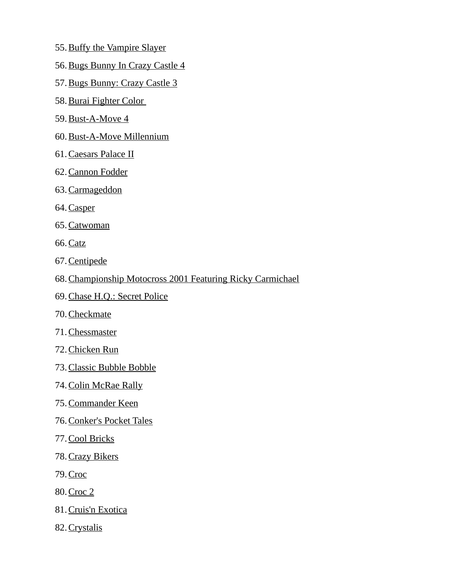- 55. Buffy the Vampire Slayer
- 56. Bugs Bunny In Crazy Castle 4
- 57. Bugs Bunny: Crazy Castle 3
- 58. Burai Fighter Color
- 59. Bust-A-Move 4
- 60. Bust-A-Move Millennium
- 61. Caesars Palace II
- 62. Cannon Fodder
- 63. Carmageddon
- 64. Casper
- 65. Catwoman
- 66. Catz
- 67. Centipede
- 68.Championship Motocross 2001 Featuring Ricky Carmichael
- 69. Chase H.Q.: Secret Police
- 70. Checkmate
- 71. Chessmaster
- 72. Chicken Run
- 73. Classic Bubble Bobble
- 74. Colin McRae Rally
- 75. Commander Keen
- 76. Conker's Pocket Tales
- 77. Cool Bricks
- 78. Crazy Bikers
- 79. Croc
- 80. Croc 2
- 81. Cruis'n Exotica
- 82. Crystalis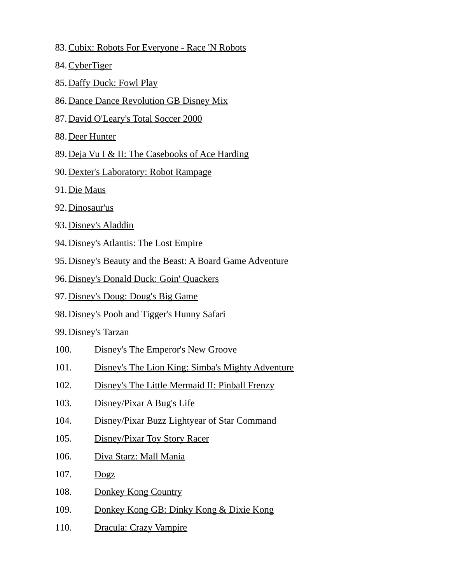- 83. Cubix: Robots For Everyone Race 'N Robots
- 84. CyberTiger
- 85. Daffy Duck: Fowl Play
- 86.Dance Dance Revolution GB Disney Mix
- 87. David O'Leary's Total Soccer 2000
- 88. Deer Hunter
- 89.Deja Vu I & II: The Casebooks of Ace Harding
- 90. Dexter's Laboratory: Robot Rampage
- 91. Die Maus
- 92. Dinosaur'us
- 93. Disney's Aladdin
- 94. Disney's Atlantis: The Lost Empire
- 95.Disney's Beauty and the Beast: A Board Game Adventure
- 96.Disney's Donald Duck: Goin' Quackers
- 97. Disney's Doug: Doug's Big Game
- 98. Disney's Pooh and Tigger's Hunny Safari
- 99. Disney's Tarzan
- 100. Disney's The Emperor's New Groove
- 101. Disney's The Lion King: Simba's Mighty Adventure
- 102. Disney's The Little Mermaid II: Pinball Frenzy
- 103. Disney/Pixar A Bug's Life
- 104. Disney/Pixar Buzz Lightyear of Star Command
- 105. Disney/Pixar Toy Story Racer
- 106. Diva Starz: Mall Mania
- 107. Dogz
- 108. Donkey Kong Country
- 109. Donkey Kong GB: Dinky Kong & Dixie Kong
- 110. Dracula: Crazy Vampire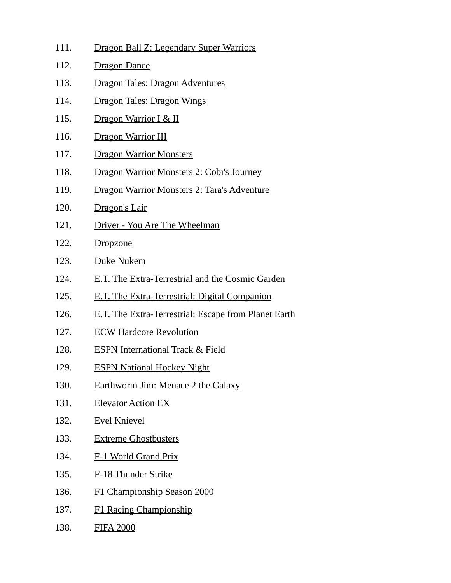| 111. | Dragon Ball Z: Legendary Super Warriors              |
|------|------------------------------------------------------|
| 112. | <b>Dragon Dance</b>                                  |
| 113. | <u> Dragon Tales: Dragon Adventures</u>              |
| 114. | Dragon Tales: Dragon Wings                           |
| 115. | Dragon Warrior I & II                                |
| 116. | Dragon Warrior III                                   |
| 117. | <b>Dragon Warrior Monsters</b>                       |
| 118. | Dragon Warrior Monsters 2: Cobi's Journey            |
| 119. | Dragon Warrior Monsters 2: Tara's Adventure          |
| 120. | Dragon's Lair                                        |
| 121. | Driver - You Are The Wheelman                        |
| 122. | <b>Dropzone</b>                                      |
| 123. | Duke Nukem                                           |
| 124. | E.T. The Extra-Terrestrial and the Cosmic Garden     |
| 125. | E.T. The Extra-Terrestrial: Digital Companion        |
| 126. | E.T. The Extra-Terrestrial: Escape from Planet Earth |
| 127. | <b>ECW Hardcore Revolution</b>                       |
| 128. | <b>ESPN International Track &amp; Field</b>          |
| 129. | <b>ESPN National Hockey Night</b>                    |
| 130. | Earthworm Jim: Menace 2 the Galaxy                   |
| 131. | <b>Elevator Action EX</b>                            |
| 132. | <b>Evel Knievel</b>                                  |
| 133. | <b>Extreme Ghostbusters</b>                          |
| 134. | F-1 World Grand Prix                                 |
| 135. | F-18 Thunder Strike                                  |
| 136. | F1 Championship Season 2000                          |
| 137. | <b>F1 Racing Championship</b>                        |
| 138. | <b>FIFA 2000</b>                                     |
|      |                                                      |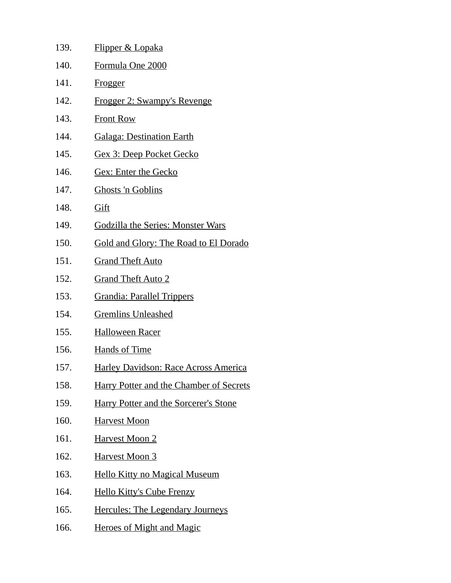| 139. | <u>Flipper &amp; Lopaka</u>                    |
|------|------------------------------------------------|
| 140. | Formula One 2000                               |
| 141. | Frogger                                        |
| 142. | Frogger 2: Swampy's Revenge                    |
| 143. | <b>Front Row</b>                               |
| 144. | <b>Galaga: Destination Earth</b>               |
| 145. | <b>Gex 3: Deep Pocket Gecko</b>                |
| 146. | <b>Gex: Enter the Gecko</b>                    |
| 147. | <b>Ghosts 'n Goblins</b>                       |
| 148. | Gift                                           |
| 149. | <b>Godzilla the Series: Monster Wars</b>       |
| 150. | <b>Gold and Glory: The Road to El Dorado</b>   |
| 151. | <b>Grand Theft Auto</b>                        |
| 152. | <b>Grand Theft Auto 2</b>                      |
| 153. | <b>Grandia: Parallel Trippers</b>              |
| 154. | <b>Gremlins Unleashed</b>                      |
| 155. | <b>Halloween Racer</b>                         |
| 156. | <b>Hands of Time</b>                           |
| 157. | <b>Harley Davidson: Race Across America</b>    |
| 158. | <b>Harry Potter and the Chamber of Secrets</b> |
| 159. | <b>Harry Potter and the Sorcerer's Stone</b>   |
| 160. | <b>Harvest Moon</b>                            |
| 161. | <b>Harvest Moon 2</b>                          |
| 162. | <b>Harvest Moon 3</b>                          |
| 163. | <b>Hello Kitty no Magical Museum</b>           |
| 164. | <b>Hello Kitty's Cube Frenzy</b>               |
| 165. | <b>Hercules: The Legendary Journeys</b>        |
| 166. | <b>Heroes of Might and Magic</b>               |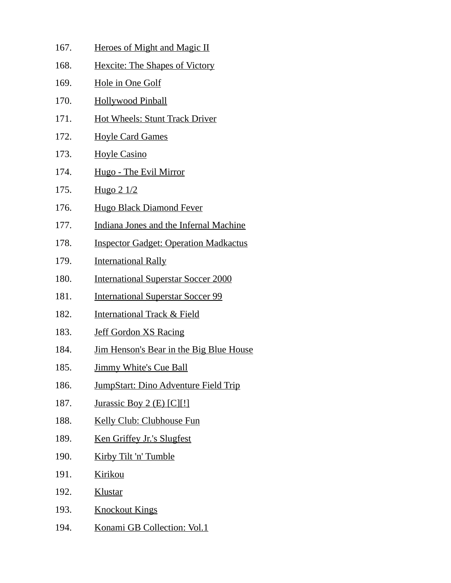| 167. | <b>Heroes of Might and Magic II</b>            |
|------|------------------------------------------------|
| 168. | <b>Hexcite: The Shapes of Victory</b>          |
| 169. | <b>Hole in One Golf</b>                        |
| 170. | <b>Hollywood Pinball</b>                       |
| 171. | <b>Hot Wheels: Stunt Track Driver</b>          |
| 172. | <b>Hoyle Card Games</b>                        |
| 173. | <b>Hoyle Casino</b>                            |
| 174. | <u> Hugo - The Evil Mirror</u>                 |
| 175. | Hugo 2 1/2                                     |
| 176. | <b>Hugo Black Diamond Fever</b>                |
| 177. | Indiana Jones and the Infernal Machine         |
| 178. | <b>Inspector Gadget: Operation Madkactus</b>   |
| 179. | <b>International Rally</b>                     |
| 180. | <b>International Superstar Soccer 2000</b>     |
| 181. | <b>International Superstar Soccer 99</b>       |
| 182. | <b>International Track &amp; Field</b>         |
| 183. | <b>Jeff Gordon XS Racing</b>                   |
| 184. | <u>Jim Henson's Bear in the Big Blue House</u> |
| 185. | <b>Jimmy White's Cue Ball</b>                  |
| 186. | <b>JumpStart: Dino Adventure Field Trip</b>    |
| 187. | Jurassic Boy 2 $(E)$ $[C][!]$                  |
| 188. | Kelly Club: Clubhouse Fun                      |
| 189. | Ken Griffey Jr.'s Slugfest                     |
| 190. | Kirby Tilt 'n' Tumble                          |
| 191. | <b>Kirikou</b>                                 |
| 192. | Klustar                                        |
| 193. | <b>Knockout Kings</b>                          |
| 194. | Konami GB Collection: Vol.1                    |
|      |                                                |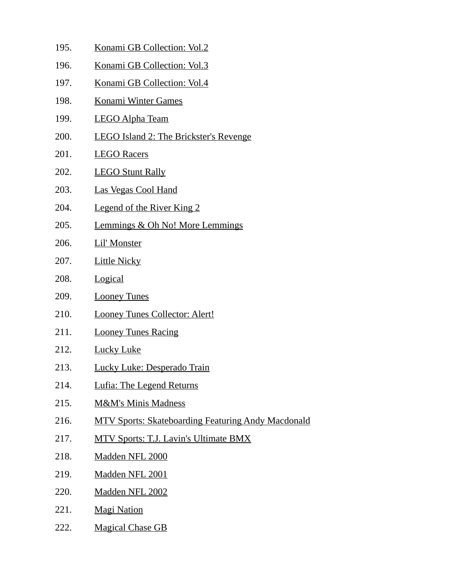- 195. Konami GB Collection: Vol.2 196. Konami GB Collection: Vol.3 197. Konami GB Collection: Vol.4 198. Konami Winter Games 199. LEGO Alpha Team 200. LEGO Island 2: The Brickster's Revenge 201. LEGO Racers 202. LEGO Stunt Rally 203. Las Vegas Cool Hand 204. Legend of the River King 2 205. Lemmings & Oh No! More Lemmings 206. Lil' Monster 207. Little Nicky 208. Logical 209. Looney Tunes 210. Looney Tunes Collector: Alert! 211. Looney Tunes Racing 212. Lucky Luke 213. Lucky Luke: Desperado Train 214. Lufia: The Legend Returns 215. M&M's Minis Madness 216. MTV Sports: Skateboarding Featuring Andy Macdonald 217. MTV Sports: T.J. Lavin's Ultimate BMX 218. Madden NFL 2000 219. Madden NFL 2001 220. Madden NFL 2002 221. Magi Nation
- 222. Magical Chase GB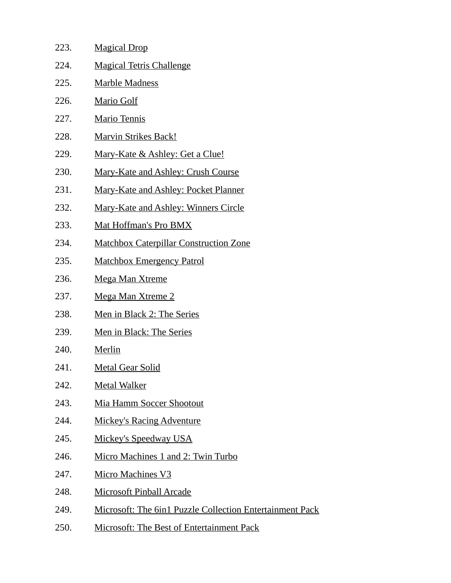| 223. | <b>Magical Drop</b>                                             |
|------|-----------------------------------------------------------------|
| 224. | <b>Magical Tetris Challenge</b>                                 |
| 225. | <b>Marble Madness</b>                                           |
| 226. | <b>Mario Golf</b>                                               |
| 227. | <b>Mario Tennis</b>                                             |
| 228. | <b>Marvin Strikes Back!</b>                                     |
| 229. | <u>Mary-Kate &amp; Ashley: Get a Clue!</u>                      |
| 230. | <b>Mary-Kate and Ashley: Crush Course</b>                       |
| 231. | Mary-Kate and Ashley: Pocket Planner                            |
| 232. | <b>Mary-Kate and Ashley: Winners Circle</b>                     |
| 233. | Mat Hoffman's Pro BMX                                           |
| 234. | <b>Matchbox Caterpillar Construction Zone</b>                   |
| 235. | <b>Matchbox Emergency Patrol</b>                                |
| 236. | <b>Mega Man Xtreme</b>                                          |
| 237. | <b>Mega Man Xtreme 2</b>                                        |
| 238. | Men in Black 2: The Series                                      |
| 239. | Men in Black: The Series                                        |
| 240. | Merlin                                                          |
| 241. | <b>Metal Gear Solid</b>                                         |
| 242. | <b>Metal Walker</b>                                             |
| 243. | Mia Hamm Soccer Shootout                                        |
| 244. | <b>Mickey's Racing Adventure</b>                                |
| 245. | <b>Mickey's Speedway USA</b>                                    |
| 246. | Micro Machines 1 and 2: Twin Turbo                              |
| 247. | <b>Micro Machines V3</b>                                        |
| 248. | <b>Microsoft Pinball Arcade</b>                                 |
| 249. | <b>Microsoft: The 6in1 Puzzle Collection Entertainment Pack</b> |
| 250. | <b>Microsoft: The Best of Entertainment Pack</b>                |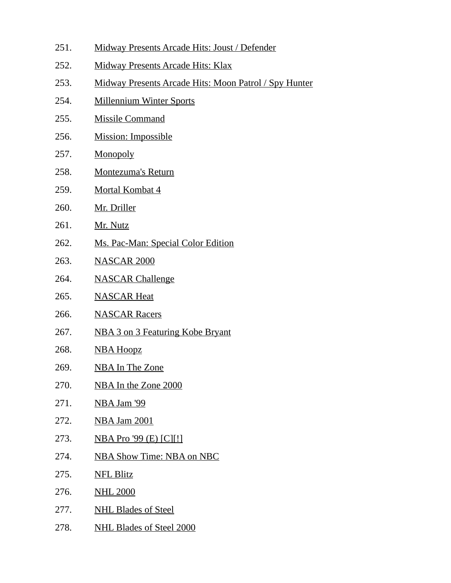251. Midway Presents Arcade Hits: Joust / Defender 252. Midway Presents Arcade Hits: Klax 253. Midway Presents Arcade Hits: Moon Patrol / Spy Hunter 254. Millennium Winter Sports 255. Missile Command 256. Mission: Impossible 257. Monopoly 258. Montezuma's Return 259. Mortal Kombat 4 260. Mr. Driller 261. Mr. Nutz 262. Ms. Pac-Man: Special Color Edition 263. NASCAR 2000 264. NASCAR Challenge 265. NASCAR Heat 266. NASCAR Racers 267. NBA 3 on 3 Featuring Kobe Bryant 268. NBA Hoopz 269. NBA In The Zone 270. NBA In the Zone 2000 271. NBA Jam '99 272. NBA Jam 2001 273. NBA Pro '99 (E) [C][!] 274. NBA Show Time: NBA on NBC 275. NFL Blitz 276. NHL 2000 277. NHL Blades of Steel 278. NHL Blades of Steel 2000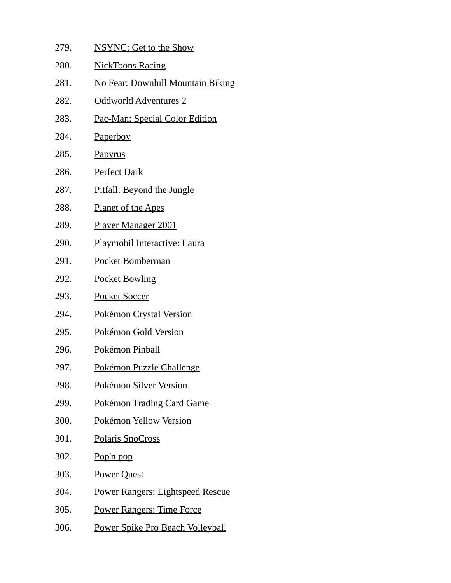| 279. | <b>NSYNC: Get to the Show</b>            |
|------|------------------------------------------|
| 280. | <b>NickToons Racing</b>                  |
| 281. | <b>No Fear: Downhill Mountain Biking</b> |
| 282. | <u>Oddworld Adventures 2</u>             |
| 283. | <u> Pac-Man: Special Color Edition</u>   |
| 284. | <u>Paperboy</u>                          |
| 285. | Papyrus                                  |
| 286. | <b>Perfect Dark</b>                      |
| 287. | Pitfall: Beyond the Jungle               |
| 288. | <u>Planet of the Apes</u>                |
| 289. | <u>Player Manager 2001</u>               |
| 290. | Playmobil Interactive: Laura             |
| 291. | Pocket Bomberman                         |
| 292. | <b>Pocket Bowling</b>                    |
| 293. | <b>Pocket Soccer</b>                     |
| 294. | Pokémon Crystal Version                  |
| 295. | Pokémon Gold Version                     |
| 296. | Pokémon Pinball                          |
| 297. | <b>Pokémon Puzzle Challenge</b>          |
| 298. | Pokémon Silver Version                   |
| 299. | <b>Pokémon Trading Card Game</b>         |
| 300. | Pokémon Yellow Version                   |
| 301. | <b>Polaris SnoCross</b>                  |
| 302. | Pop'n pop                                |
| 303. | <b>Power Quest</b>                       |
| 304. | Power Rangers: Lightspeed Rescue         |
| 305. | <b>Power Rangers: Time Force</b>         |
| 306. | Power Spike Pro Beach Volleyball         |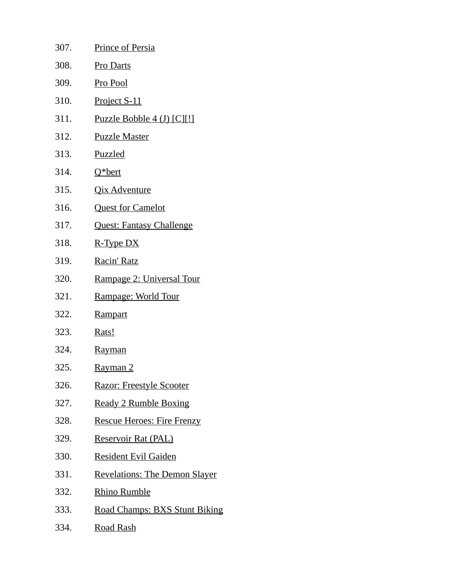| 307. | <b>Prince of Persia</b>              |
|------|--------------------------------------|
| 308. | <b>Pro Darts</b>                     |
| 309. | Pro Pool                             |
| 310. | Project S-11                         |
| 311. | <u>Puzzle Bobble 4 (J) [C][!]</u>    |
| 312. | <b>Puzzle Master</b>                 |
| 313. | <b>Puzzled</b>                       |
| 314. | Q*bert                               |
| 315. | <b>Qix Adventure</b>                 |
| 316. | <b>Quest for Camelot</b>             |
| 317. | <b>Quest: Fantasy Challenge</b>      |
| 318. | <u>R-Type DX</u>                     |
| 319. | Racin' Ratz                          |
| 320. | Rampage 2: Universal Tour            |
| 321. | Rampage: World Tour                  |
| 322. | <u>Rampart</u>                       |
| 323. | Rats!                                |
| 324. | <u>Rayman</u>                        |
| 325. | <u>Rayman 2</u>                      |
| 326. | <b>Razor: Freestyle Scooter</b>      |
| 327. | <b>Ready 2 Rumble Boxing</b>         |
| 328. | <b>Rescue Heroes: Fire Frenzy</b>    |
| 329. | <b>Reservoir Rat (PAL)</b>           |
| 330. | <b>Resident Evil Gaiden</b>          |
| 331. | <b>Revelations: The Demon Slayer</b> |
| 332. | <u>Rhino Rumble</u>                  |
| 333. | <b>Road Champs: BXS Stunt Biking</b> |
| 334. | <u>Road Rash</u>                     |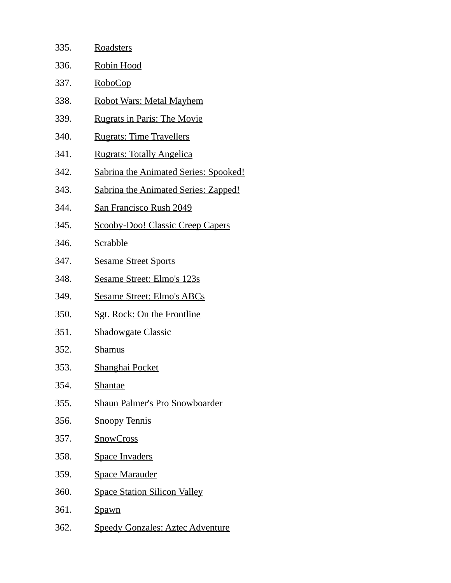| 335. | <b>Roadsters</b>                             |
|------|----------------------------------------------|
| 336. | <b>Robin Hood</b>                            |
| 337. | <b>RoboCop</b>                               |
| 338. | <b>Robot Wars: Metal Mayhem</b>              |
| 339. | <b>Rugrats in Paris: The Movie</b>           |
| 340. | <b>Rugrats: Time Travellers</b>              |
| 341. | <b>Rugrats: Totally Angelica</b>             |
| 342. | <b>Sabrina the Animated Series: Spooked!</b> |
| 343. | <b>Sabrina the Animated Series: Zapped!</b>  |
| 344. | <b>San Francisco Rush 2049</b>               |
| 345. | <b>Scooby-Doo! Classic Creep Capers</b>      |
| 346. | <b>Scrabble</b>                              |
| 347. | <b>Sesame Street Sports</b>                  |
| 348. | <b>Sesame Street: Elmo's 123s</b>            |
| 349. | <b>Sesame Street: Elmo's ABCs</b>            |
| 350. | <b>Sgt. Rock: On the Frontline</b>           |
| 351. | <b>Shadowgate Classic</b>                    |
| 352. | <b>Shamus</b>                                |
| 353. | Shanghai Pocket                              |
| 354. | <b>Shantae</b>                               |
| 355. | <u>Shaun Palmer's Pro Snowboarder</u>        |
| 356. | <b>Snoopy Tennis</b>                         |
| 357. | <b>SnowCross</b>                             |
| 358. | <b>Space Invaders</b>                        |
| 359. | <b>Space Marauder</b>                        |
| 360. | <b>Space Station Silicon Valley</b>          |
| 361. | <u>Spawn</u>                                 |
| 362. | <b>Speedy Gonzales: Aztec Adventure</b>      |
|      |                                              |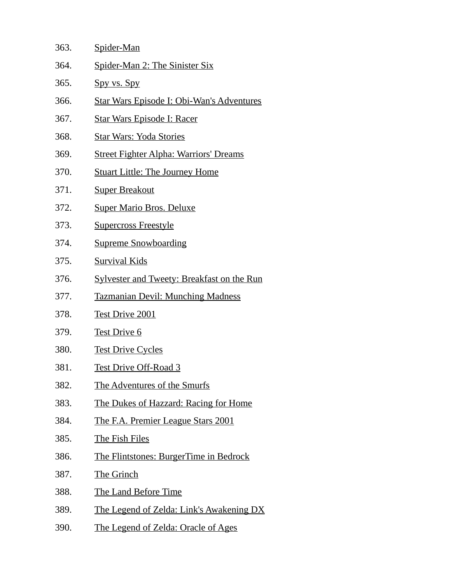| 363. | Spider-Man                                        |
|------|---------------------------------------------------|
| 364. | Spider-Man 2: The Sinister Six                    |
| 365. | Spy vs. Spy                                       |
| 366. | <b>Star Wars Episode I: Obi-Wan's Adventures</b>  |
| 367. | <u> Star Wars Episode I: Racer</u>                |
| 368. | <b>Star Wars: Yoda Stories</b>                    |
| 369. | <b>Street Fighter Alpha: Warriors' Dreams</b>     |
| 370. | <b>Stuart Little: The Journey Home</b>            |
| 371. | <b>Super Breakout</b>                             |
| 372. | <b>Super Mario Bros. Deluxe</b>                   |
| 373. | <b>Supercross Freestyle</b>                       |
| 374. | <b>Supreme Snowboarding</b>                       |
| 375. | <b>Survival Kids</b>                              |
| 376. | <b>Sylvester and Tweety: Breakfast on the Run</b> |
| 377. | <b>Tazmanian Devil: Munching Madness</b>          |
| 378. | <b>Test Drive 2001</b>                            |
| 379. | <b>Test Drive 6</b>                               |
| 380. | <b>Test Drive Cycles</b>                          |
| 381. | <b>Test Drive Off-Road 3</b>                      |
| 382. | The Adventures of the Smurfs                      |
| 383. | <u>The Dukes of Hazzard: Racing for Home</u>      |
| 384. | <u>The F.A. Premier League Stars 2001</u>         |
| 385. | <b>The Fish Files</b>                             |
| 386. | <b>The Flintstones: BurgerTime in Bedrock</b>     |
| 387. | <b>The Grinch</b>                                 |
| 388. | The Land Before Time                              |
| 389. | The Legend of Zelda: Link's Awakening DX          |
| 390. | The Legend of Zelda: Oracle of Ages               |
|      |                                                   |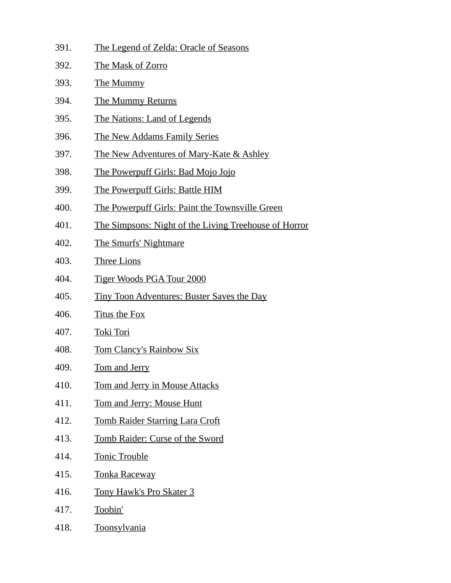- 391. The Legend of Zelda: Oracle of Seasons
- 392. The Mask of Zorro
- 393. The Mummy
- 394. The Mummy Returns
- 395. The Nations: Land of Legends
- 396. The New Addams Family Series
- 397. The New Adventures of Mary-Kate & Ashley
- 398. The Powerpuff Girls: Bad Mojo Jojo
- 399. The Powerpuff Girls: Battle HIM
- 400. The Powerpuff Girls: Paint the Townsville Green
- 401. The Simpsons: Night of the Living Treehouse of Horror
- 402. The Smurfs' Nightmare
- 403. Three Lions
- 404. Tiger Woods PGA Tour 2000
- 405. Tiny Toon Adventures: Buster Saves the Day
- 406. Titus the Fox
- 407. Toki Tori
- 408. Tom Clancy's Rainbow Six
- 409. Tom and Jerry
- 410. Tom and Jerry in Mouse Attacks
- 411. Tom and Jerry: Mouse Hunt
- 412. Tomb Raider Starring Lara Croft
- 413. Tomb Raider: Curse of the Sword
- 414. Tonic Trouble
- 415. Tonka Raceway
- 416. Tony Hawk's Pro Skater 3
- 417. Toobin'
- 418. Toonsylvania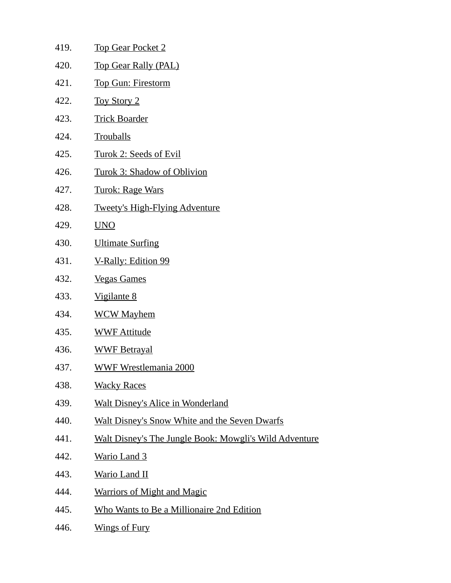419. Top Gear Pocket 2 420. Top Gear Rally (PAL) 421. Top Gun: Firestorm 422. Toy Story 2 423. Trick Boarder 424. Trouballs 425. Turok 2: Seeds of Evil 426. Turok 3: Shadow of Oblivion 427. Turok: Rage Wars 428. Tweety's High-Flying Adventure 429. UNO 430. Ultimate Surfing 431. V-Rally: Edition 99 432. Vegas Games 433. Vigilante 8 434. WCW Mayhem 435. WWF Attitude 436. WWF Betrayal 437. WWF Wrestlemania 2000 438. Wacky Races 439. Walt Disney's Alice in Wonderland 440. Walt Disney's Snow White and the Seven Dwarfs 441. Walt Disney's The Jungle Book: Mowgli's Wild Adventure 442. Wario Land 3 443. Wario Land II 444. Warriors of Might and Magic 445. Who Wants to Be a Millionaire 2nd Edition 446. Wings of Fury